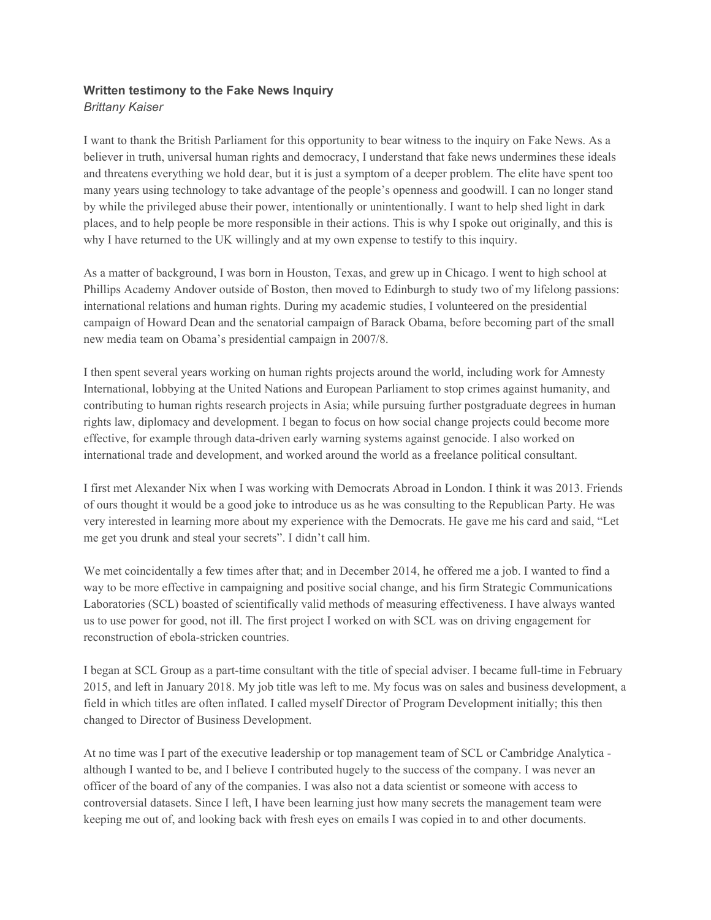## **Written testimony to the Fake News Inquiry** *Brittany Kaiser*

I want to thank the British Parliament for this opportunity to bear witness to the inquiry on Fake News. As a believer in truth, universal human rights and democracy, I understand that fake news undermines these ideals and threatens everything we hold dear, but it is just a symptom of a deeper problem. The elite have spent too many years using technology to take advantage of the people's openness and goodwill. I can no longer stand by while the privileged abuse their power, intentionally or unintentionally. I want to help shed light in dark places, and to help people be more responsible in their actions. This is why I spoke out originally, and this is why I have returned to the UK willingly and at my own expense to testify to this inquiry.

As a matter of background, I was born in Houston, Texas, and grew up in Chicago. I went to high school at Phillips Academy Andover outside of Boston, then moved to Edinburgh to study two of my lifelong passions: international relations and human rights. During my academic studies, I volunteered on the presidential campaign of Howard Dean and the senatorial campaign of Barack Obama, before becoming part of the small new media team on Obama's presidential campaign in 2007/8.

I then spent several years working on human rights projects around the world, including work for Amnesty International, lobbying at the United Nations and European Parliament to stop crimes against humanity, and contributing to human rights research projects in Asia; while pursuing further postgraduate degrees in human rights law, diplomacy and development. I began to focus on how social change projects could become more effective, for example through data-driven early warning systems against genocide. I also worked on international trade and development, and worked around the world as a freelance political consultant.

I first met Alexander Nix when I was working with Democrats Abroad in London. I think it was 2013. Friends of ours thought it would be a good joke to introduce us as he was consulting to the Republican Party. He was very interested in learning more about my experience with the Democrats. He gave me his card and said, "Let me get you drunk and steal your secrets". I didn't call him.

We met coincidentally a few times after that; and in December 2014, he offered me a job. I wanted to find a way to be more effective in campaigning and positive social change, and his firm Strategic Communications Laboratories (SCL) boasted of scientifically valid methods of measuring effectiveness. I have always wanted us to use power for good, not ill. The first project I worked on with SCL was on driving engagement for reconstruction of ebola-stricken countries.

I began at SCL Group as a part-time consultant with the title of special adviser. I became full-time in February 2015, and left in January 2018. My job title was left to me. My focus was on sales and business development, a field in which titles are often inflated. I called myself Director of Program Development initially; this then changed to Director of Business Development.

At no time was I part of the executive leadership or top management team of SCL or Cambridge Analytica although I wanted to be, and I believe I contributed hugely to the success of the company. I was never an officer of the board of any of the companies. I was also not a data scientist or someone with access to controversial datasets. Since I left, I have been learning just how many secrets the management team were keeping me out of, and looking back with fresh eyes on emails I was copied in to and other documents.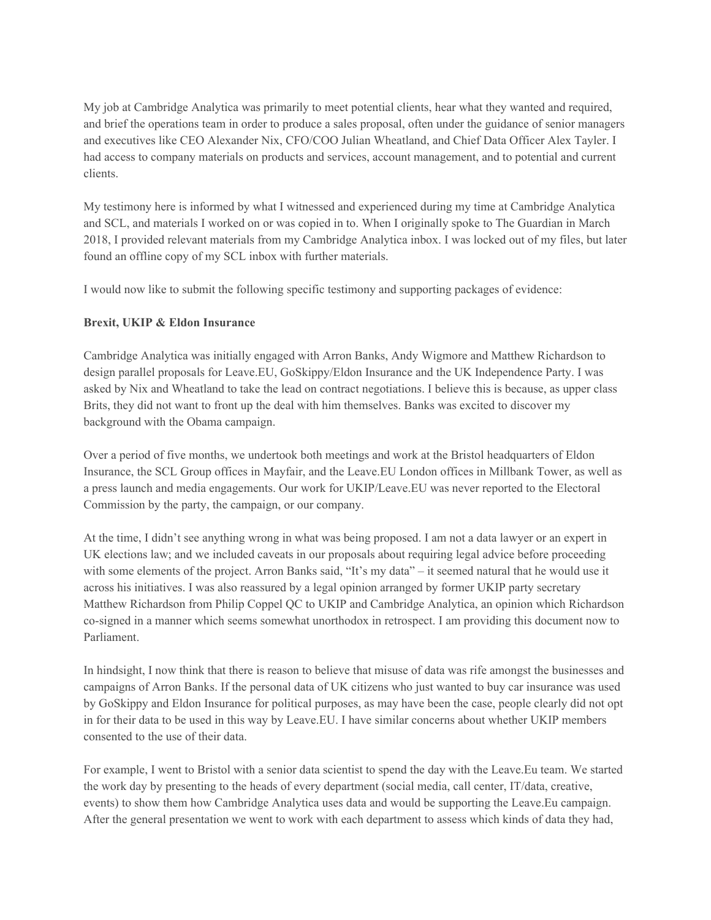My job at Cambridge Analytica was primarily to meet potential clients, hear what they wanted and required, and brief the operations team in order to produce a sales proposal, often under the guidance of senior managers and executives like CEO Alexander Nix, CFO/COO Julian Wheatland, and Chief Data Officer Alex Tayler. I had access to company materials on products and services, account management, and to potential and current clients.

My testimony here is informed by what I witnessed and experienced during my time at Cambridge Analytica and SCL, and materials I worked on or was copied in to. When I originally spoke to The Guardian in March 2018, I provided relevant materials from my Cambridge Analytica inbox. I was locked out of my files, but later found an offline copy of my SCL inbox with further materials.

I would now like to submit the following specific testimony and supporting packages of evidence:

#### **Brexit, UKIP & Eldon Insurance**

Cambridge Analytica was initially engaged with Arron Banks, Andy Wigmore and Matthew Richardson to design parallel proposals for Leave.EU, GoSkippy/Eldon Insurance and the UK Independence Party. I was asked by Nix and Wheatland to take the lead on contract negotiations. I believe this is because, as upper class Brits, they did not want to front up the deal with him themselves. Banks was excited to discover my background with the Obama campaign.

Over a period of five months, we undertook both meetings and work at the Bristol headquarters of Eldon Insurance, the SCL Group offices in Mayfair, and the Leave.EU London offices in Millbank Tower, as well as a press launch and media engagements. Our work for UKIP/Leave.EU was never reported to the Electoral Commission by the party, the campaign, or our company.

At the time, I didn't see anything wrong in what was being proposed. I am not a data lawyer or an expert in UK elections law; and we included caveats in our proposals about requiring legal advice before proceeding with some elements of the project. Arron Banks said, "It's my data" – it seemed natural that he would use it across his initiatives. I was also reassured by a legal opinion arranged by former UKIP party secretary Matthew Richardson from Philip Coppel QC to UKIP and Cambridge Analytica, an opinion which Richardson co-signed in a manner which seems somewhat unorthodox in retrospect. I am providing this document now to Parliament.

In hindsight, I now think that there is reason to believe that misuse of data was rife amongst the businesses and campaigns of Arron Banks. If the personal data of UK citizens who just wanted to buy car insurance was used by GoSkippy and Eldon Insurance for political purposes, as may have been the case, people clearly did not opt in for their data to be used in this way by Leave.EU. I have similar concerns about whether UKIP members consented to the use of their data.

For example, I went to Bristol with a senior data scientist to spend the day with the Leave.Eu team. We started the work day by presenting to the heads of every department (social media, call center, IT/data, creative, events) to show them how Cambridge Analytica uses data and would be supporting the Leave.Eu campaign. After the general presentation we went to work with each department to assess which kinds of data they had,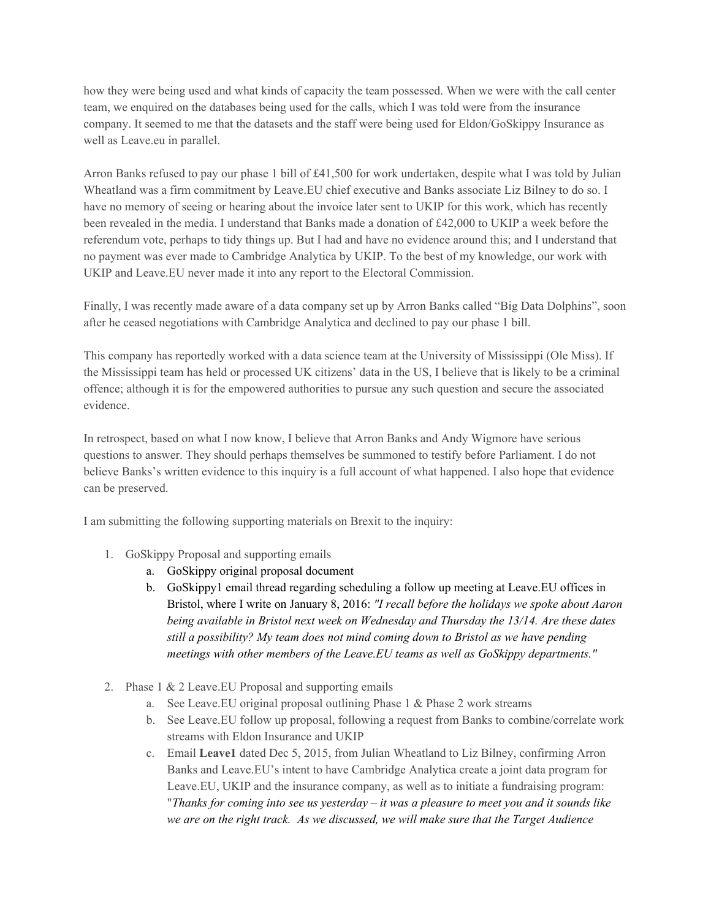how they were being used and what kinds of capacity the team possessed. When we were with the call center team, we enquired on the databases being used for the calls, which I was told were from the insurance company. It seemed to me that the datasets and the staff were being used for Eldon/GoSkippy Insurance as well as Leave.eu in parallel.

Arron Banks refused to pay our phase 1 bill of £41,500 for work undertaken, despite what I was told by Julian Wheatland was a firm commitment by Leave.EU chief executive and Banks associate Liz Bilney to do so. I have no memory of seeing or hearing about the invoice later sent to UKIP for this work, which has recently been revealed in the media. I understand that Banks made a donation of £42,000 to UKIP a week before the referendum vote, perhaps to tidy things up. But I had and have no evidence around this; and I understand that no payment was ever made to Cambridge Analytica by UKIP. To the best of my knowledge, our work with UKIP and Leave.EU never made it into any report to the Electoral Commission.

Finally, I was recently made aware of a data company set up by Arron Banks called "Big Data Dolphins", soon after he ceased negotiations with Cambridge Analytica and declined to pay our phase 1 bill.

This company has reportedly worked with a data science team at the University of Mississippi (Ole Miss). If the Mississippi team has held or processed UK citizens' data in the US, I believe that is likely to be a criminal offence; although it is for the empowered authorities to pursue any such question and secure the associated evidence.

In retrospect, based on what I now know, I believe that Arron Banks and Andy Wigmore have serious questions to answer. They should perhaps themselves be summoned to testify before Parliament. I do not believe Banks's written evidence to this inquiry is a full account of what happened. I also hope that evidence can be preserved.

I am submitting the following supporting materials on Brexit to the inquiry:

- 1. GoSkippy Proposal and supporting emails
	- a. GoSkippy original proposal document
	- b. GoSkippy1 email thread regarding scheduling a follow up meeting at Leave.EU offices in Bristol, where I write on January 8, 2016: *"I recall before the holidays we spoke about Aaron being available in Bristol next week on Wednesday and Thursday the 13/14. Are these dates still a possibility? My team does not mind coming down to Bristol as we have pending meetings with other members of the Leave.EU teams as well as GoSkippy departments."*
- 2. Phase 1 & 2 Leave.EU Proposal and supporting emails
	- a. See Leave.EU original proposal outlining Phase 1 & Phase 2 work streams
	- b. See Leave.EU follow up proposal, following a request from Banks to combine/correlate work streams with Eldon Insurance and UKIP
	- c. Email **Leave1** dated Dec 5, 2015, from Julian Wheatland to Liz Bilney, confirming Arron Banks and Leave.EU's intent to have Cambridge Analytica create a joint data program for Leave.EU, UKIP and the insurance company, as well as to initiate a fundraising program: "*Thanks for coming into see us yesterday – it was a pleasure to meet you and it sounds like we are on the right track. As we discussed, we will make sure that the Target Audience*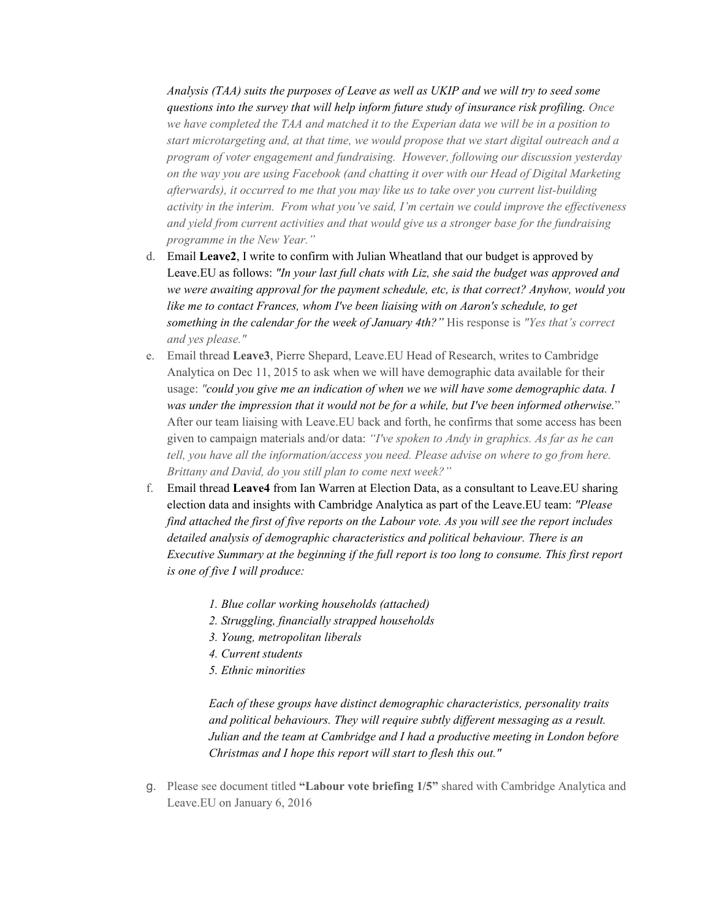*Analysis (TAA) suits the purposes of Leave as well as UKIP and we will try to seed some questions into the survey that will help inform future study of insurance risk profiling. Once we have completed the TAA and matched it to the Experian data we will be in a position to start microtargeting and, at that time, we would propose that we start digital outreach and a program of voter engagement and fundraising. However, following our discussion yesterday on the way you are using Facebook (and chatting it over with our Head of Digital Marketing afterwards), it occurred to me that you may like us to take over you current list-building activity in the interim. From what you've said, I'm certain we could improve the effectiveness and yield from current activities and that would give us a stronger base for the fundraising programme in the New Year."*

- d. Email **Leave2**, I write to confirm with Julian Wheatland that our budget is approved by Leave.EU as follows: *"In your last full chats with Liz, she said the budget was approved and we were awaiting approval for the payment schedule, etc, is that correct? Anyhow, would you like me to contact Frances, whom I've been liaising with on Aaron's schedule, to get something in the calendar for the week of January 4th?"* His response is *"Yes that's correct and yes please."*
- e. Email thread **Leave3**, Pierre Shepard, Leave.EU Head of Research, writes to Cambridge Analytica on Dec 11, 2015 to ask when we will have demographic data available for their usage: *"could you give me an indication of when we we will have some demographic data. I was under the impression that it would not be for a while, but I've been informed otherwise.*" After our team liaising with Leave.EU back and forth, he confirms that some access has been given to campaign materials and/or data: *"I've spoken to Andy in graphics. As far as he can tell, you have all the information/access you need. Please advise on where to go from here. Brittany and David, do you still plan to come next week?"*
- f. Email thread **Leave4** from Ian Warren at Election Data, as a consultant to Leave.EU sharing election data and insights with Cambridge Analytica as part of the Leave.EU team: *"Please find attached the first of five reports on the Labour vote. As you will see the report includes detailed analysis of demographic characteristics and political behaviour. There is an Executive Summary at the beginning if the full report is too long to consume. This first report is one of five I will produce:*
	- *1. Blue collar working households (attached)*
	- *2. Struggling, financially strapped households*
	- *3. Young, metropolitan liberals*
	- *4. Current students*
	- *5. Ethnic minorities*

*Each of these groups have distinct demographic characteristics, personality traits and political behaviours. They will require subtly different messaging as a result. Julian and the team at Cambridge and I had a productive meeting in London before Christmas and I hope this report will start to flesh this out."*

g. Please see document titled **"Labour vote briefing 1/5"** shared with Cambridge Analytica and Leave.EU on January 6, 2016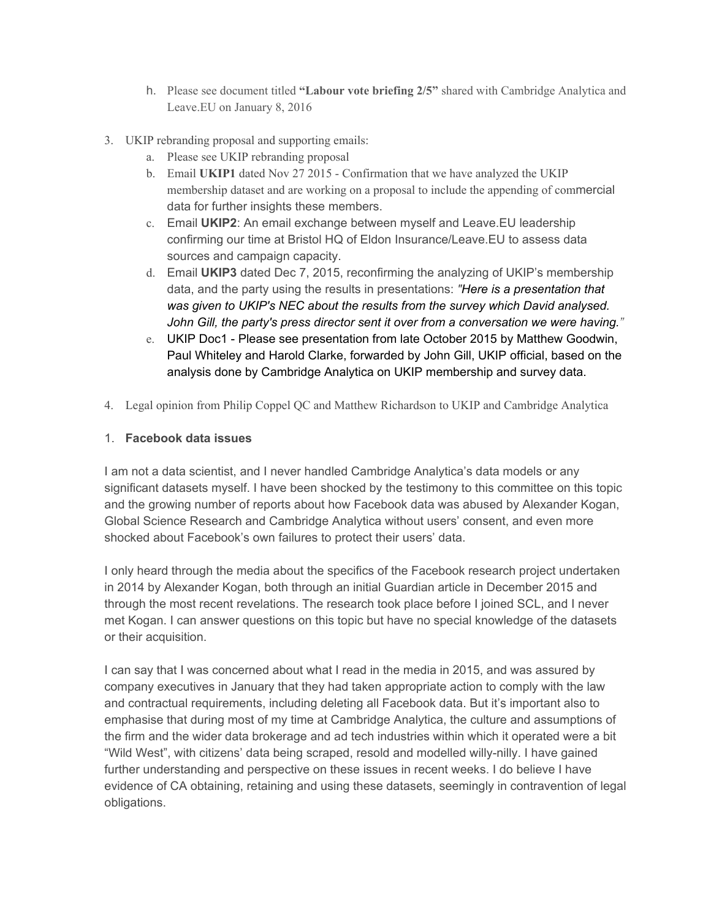- h. Please see document titled **"Labour vote briefing 2/5"** shared with Cambridge Analytica and Leave.EU on January 8, 2016
- 3. UKIP rebranding proposal and supporting emails:
	- a. Please see UKIP rebranding proposal
	- b. Email **UKIP1** dated Nov 27 2015 Confirmation that we have analyzed the UKIP membership dataset and are working on a proposal to include the appending of commercial data for further insights these members.
	- c. Email **UKIP2**: An email exchange between myself and Leave.EU leadership confirming our time at Bristol HQ of Eldon Insurance/Leave.EU to assess data sources and campaign capacity.
	- d. Email **UKIP3** dated Dec 7, 2015, reconfirming the analyzing of UKIP's membership data, and the party using the results in presentations: *"Here is a presentation that was given to UKIP's NEC about the results from the survey which David analysed. John Gill, the party's press director sent it over from a conversation we were having."*
	- e. UKIP Doc1 Please see presentation from late October 2015 by Matthew Goodwin, Paul Whiteley and Harold Clarke, forwarded by John Gill, UKIP official, based on the analysis done by Cambridge Analytica on UKIP membership and survey data.
- 4. Legal opinion from Philip Coppel QC and Matthew Richardson to UKIP and Cambridge Analytica

## 1. **Facebook data issues**

I am not a data scientist, and I never handled Cambridge Analytica's data models or any significant datasets myself. I have been shocked by the testimony to this committee on this topic and the growing number of reports about how Facebook data was abused by Alexander Kogan, Global Science Research and Cambridge Analytica without users' consent, and even more shocked about Facebook's own failures to protect their users' data.

I only heard through the media about the specifics of the Facebook research project undertaken in 2014 by Alexander Kogan, both through an initial Guardian article in December 2015 and through the most recent revelations. The research took place before I joined SCL, and I never met Kogan. I can answer questions on this topic but have no special knowledge of the datasets or their acquisition.

I can say that I was concerned about what I read in the media in 2015, and was assured by company executives in January that they had taken appropriate action to comply with the law and contractual requirements, including deleting all Facebook data. But it's important also to emphasise that during most of my time at Cambridge Analytica, the culture and assumptions of the firm and the wider data brokerage and ad tech industries within which it operated were a bit "Wild West", with citizens' data being scraped, resold and modelled willy-nilly. I have gained further understanding and perspective on these issues in recent weeks. I do believe I have evidence of CA obtaining, retaining and using these datasets, seemingly in contravention of legal obligations.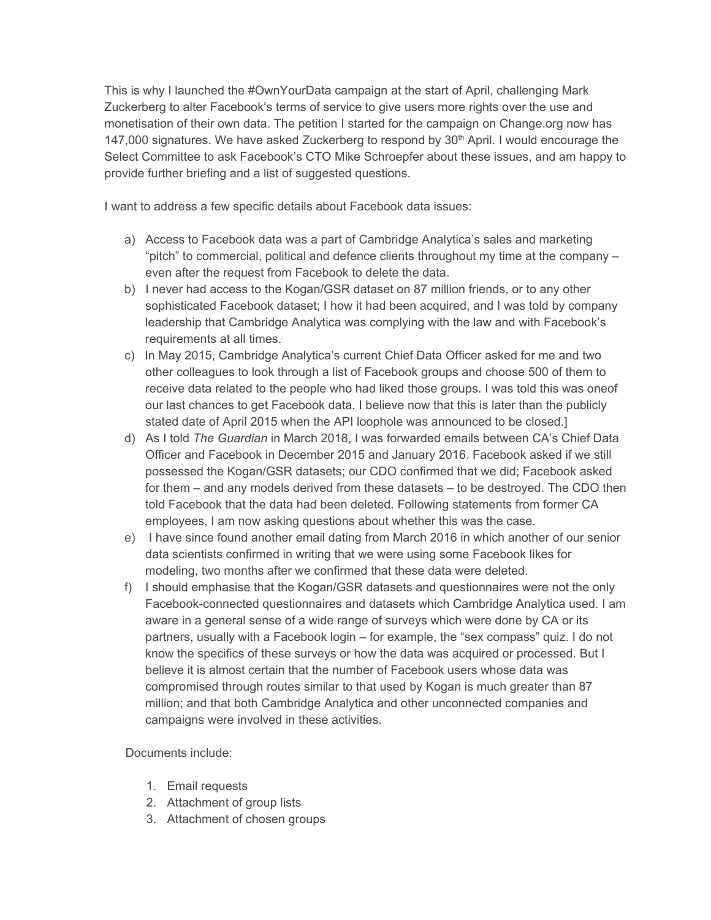This is why I launched the #OwnYourData campaign at the start of April, challenging Mark Zuckerberg to alter Facebook's terms of service to give users more rights over the use and monetisation of their own data. The petition I started for the campaign on Change.org now has 147,000 signatures. We have asked Zuckerberg to respond by 30<sup>th</sup> April. I would encourage the Select Committee to ask Facebook's CTO Mike Schroepfer about these issues, and am happy to provide further briefing and a list of suggested questions.

I want to address a few specific details about Facebook data issues:

- a) Access to Facebook data was a part of Cambridge Analytica's sales and marketing "pitch" to commercial, political and defence clients throughout my time at the company – even after the request from Facebook to delete the data.
- b) I never had access to the Kogan/GSR dataset on 87 million friends, or to any other sophisticated Facebook dataset; I how it had been acquired, and I was told by company leadership that Cambridge Analytica was complying with the law and with Facebook's requirements at all times.
- c) In May 2015, Cambridge Analytica's current Chief Data Officer asked for me and two other colleagues to look through a list of Facebook groups and choose 500 of them to receive data related to the people who had liked those groups. I was told this was oneof our last chances to get Facebook data. I believe now that this is later than the publicly stated date of April 2015 when the API loophole was announced to be closed.]
- d) As I told *The Guardian* in March 2018, I was forwarded emails between CA's Chief Data Officer and Facebook in December 2015 and January 2016. Facebook asked if we still possessed the Kogan/GSR datasets; our CDO confirmed that we did; Facebook asked for them – and any models derived from these datasets – to be destroyed. The CDO then told Facebook that the data had been deleted. Following statements from former CA employees, I am now asking questions about whether this was the case.
- e) I have since found another email dating from March 2016 in which another of our senior data scientists confirmed in writing that we were using some Facebook likes for modeling, two months after we confirmed that these data were deleted.
- f) I should emphasise that the Kogan/GSR datasets and questionnaires were not the only Facebook-connected questionnaires and datasets which Cambridge Analytica used. I am aware in a general sense of a wide range of surveys which were done by CA or its partners, usually with a Facebook login – for example, the "sex compass" quiz. I do not know the specifics of these surveys or how the data was acquired or processed. But I believe it is almost certain that the number of Facebook users whose data was compromised through routes similar to that used by Kogan is much greater than 87 million; and that both Cambridge Analytica and other unconnected companies and campaigns were involved in these activities.

## Documents include:

- 1. Email requests
- 2. Attachment of group lists
- 3. Attachment of chosen groups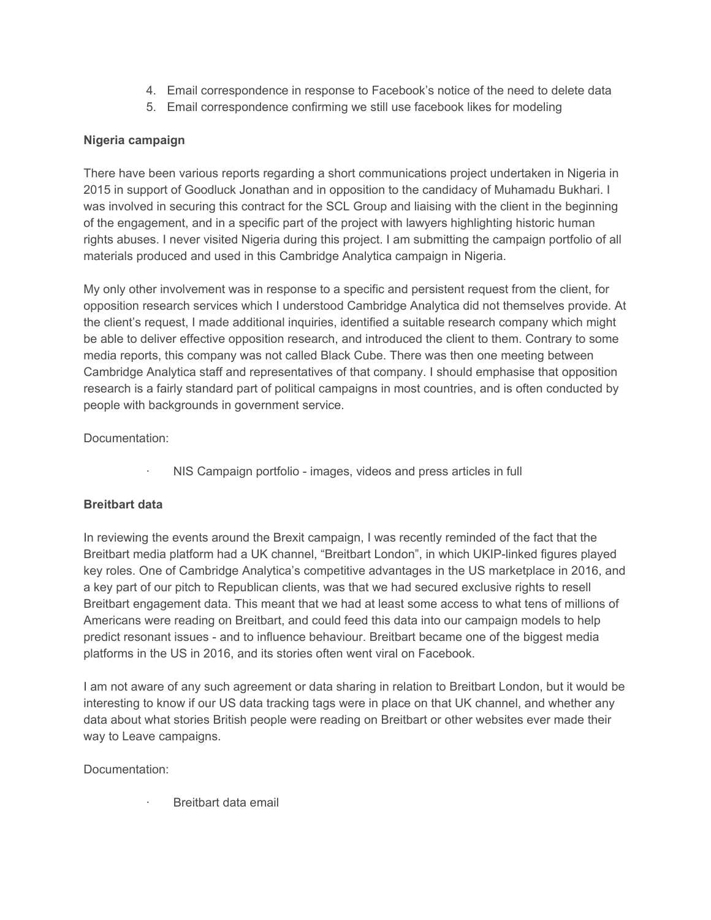- 4. Email correspondence in response to Facebook's notice of the need to delete data
- 5. Email correspondence confirming we still use facebook likes for modeling

## **Nigeria campaign**

There have been various reports regarding a short communications project undertaken in Nigeria in 2015 in support of Goodluck Jonathan and in opposition to the candidacy of Muhamadu Bukhari. I was involved in securing this contract for the SCL Group and liaising with the client in the beginning of the engagement, and in a specific part of the project with lawyers highlighting historic human rights abuses. I never visited Nigeria during this project. I am submitting the campaign portfolio of all materials produced and used in this Cambridge Analytica campaign in Nigeria.

My only other involvement was in response to a specific and persistent request from the client, for opposition research services which I understood Cambridge Analytica did not themselves provide. At the client's request, I made additional inquiries, identified a suitable research company which might be able to deliver effective opposition research, and introduced the client to them. Contrary to some media reports, this company was not called Black Cube. There was then one meeting between Cambridge Analytica staff and representatives of that company. I should emphasise that opposition research is a fairly standard part of political campaigns in most countries, and is often conducted by people with backgrounds in government service.

Documentation:

NIS Campaign portfolio - images, videos and press articles in full

# **Breitbart data**

In reviewing the events around the Brexit campaign, I was recently reminded of the fact that the Breitbart media platform had a UK channel, "Breitbart London", in which UKIP-linked figures played key roles. One of Cambridge Analytica's competitive advantages in the US marketplace in 2016, and a key part of our pitch to Republican clients, was that we had secured exclusive rights to resell Breitbart engagement data. This meant that we had at least some access to what tens of millions of Americans were reading on Breitbart, and could feed this data into our campaign models to help predict resonant issues - and to influence behaviour. Breitbart became one of the biggest media platforms in the US in 2016, and its stories often went viral on Facebook.

I am not aware of any such agreement or data sharing in relation to Breitbart London, but it would be interesting to know if our US data tracking tags were in place on that UK channel, and whether any data about what stories British people were reading on Breitbart or other websites ever made their way to Leave campaigns.

Documentation:

· Breitbart data email